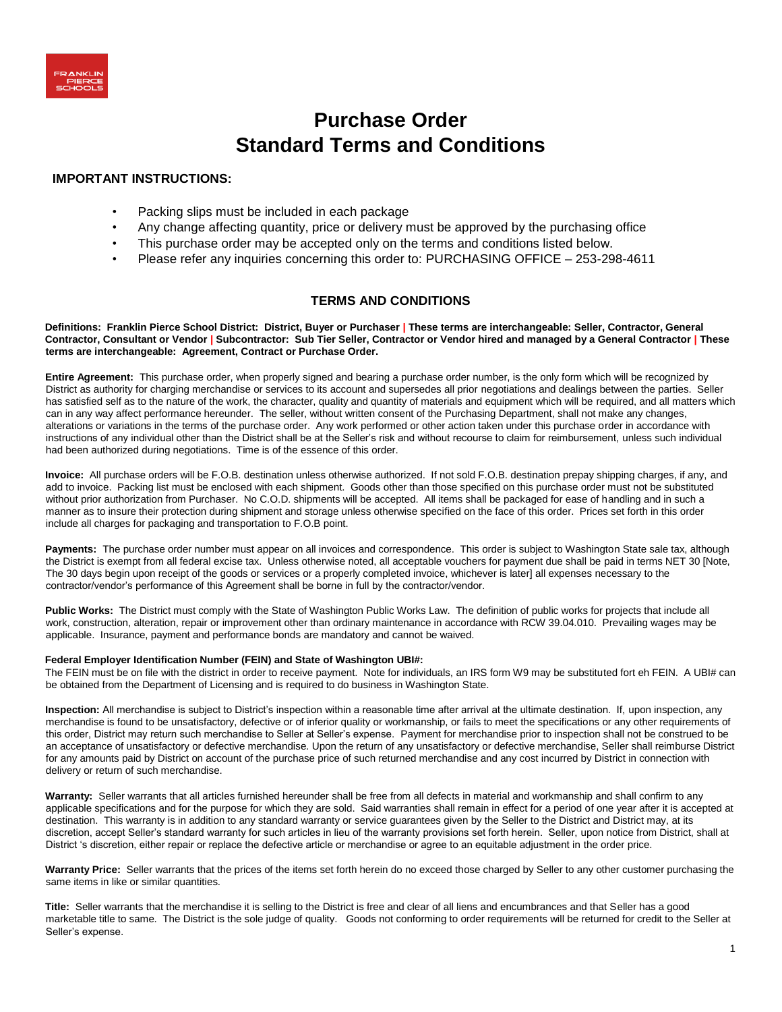# **Purchase Order Standard Terms and Conditions**

## **IMPORTANT INSTRUCTIONS:**

- Packing slips must be included in each package
- Any change affecting quantity, price or delivery must be approved by the purchasing office
- This purchase order may be accepted only on the terms and conditions listed below.
- Please refer any inquiries concerning this order to: PURCHASING OFFICE 253-298-4611

### **TERMS AND CONDITIONS**

**Definitions: Franklin Pierce School District: District, Buyer or Purchaser | These terms are interchangeable: Seller, Contractor, General Contractor, Consultant or Vendor | Subcontractor: Sub Tier Seller, Contractor or Vendor hired and managed by a General Contractor | These terms are interchangeable: Agreement, Contract or Purchase Order.** 

**Entire Agreement:** This purchase order, when properly signed and bearing a purchase order number, is the only form which will be recognized by District as authority for charging merchandise or services to its account and supersedes all prior negotiations and dealings between the parties. Seller has satisfied self as to the nature of the work, the character, quality and quantity of materials and equipment which will be required, and all matters which can in any way affect performance hereunder. The seller, without written consent of the Purchasing Department, shall not make any changes, alterations or variations in the terms of the purchase order. Any work performed or other action taken under this purchase order in accordance with instructions of any individual other than the District shall be at the Seller's risk and without recourse to claim for reimbursement, unless such individual had been authorized during negotiations. Time is of the essence of this order.

**Invoice:** All purchase orders will be F.O.B. destination unless otherwise authorized. If not sold F.O.B. destination prepay shipping charges, if any, and add to invoice. Packing list must be enclosed with each shipment. Goods other than those specified on this purchase order must not be substituted without prior authorization from Purchaser. No C.O.D. shipments will be accepted. All items shall be packaged for ease of handling and in such a manner as to insure their protection during shipment and storage unless otherwise specified on the face of this order. Prices set forth in this order include all charges for packaging and transportation to F.O.B point.

Payments: The purchase order number must appear on all invoices and correspondence. This order is subject to Washington State sale tax, although the District is exempt from all federal excise tax. Unless otherwise noted, all acceptable vouchers for payment due shall be paid in terms NET 30 [Note, The 30 days begin upon receipt of the goods or services or a properly completed invoice, whichever is later] all expenses necessary to the contractor/vendor's performance of this Agreement shall be borne in full by the contractor/vendor.

**Public Works:** The District must comply with the State of Washington Public Works Law. The definition of public works for projects that include all work, construction, alteration, repair or improvement other than ordinary maintenance in accordance with RCW 39.04.010. Prevailing wages may be applicable. Insurance, payment and performance bonds are mandatory and cannot be waived.

#### **Federal Employer Identification Number (FEIN) and State of Washington UBI#:**

The FEIN must be on file with the district in order to receive payment. Note for individuals, an IRS form W9 may be substituted fort eh FEIN. A UBI# can be obtained from the Department of Licensing and is required to do business in Washington State.

**Inspection:** All merchandise is subject to District's inspection within a reasonable time after arrival at the ultimate destination. If, upon inspection, any merchandise is found to be unsatisfactory, defective or of inferior quality or workmanship, or fails to meet the specifications or any other requirements of this order, District may return such merchandise to Seller at Seller's expense. Payment for merchandise prior to inspection shall not be construed to be an acceptance of unsatisfactory or defective merchandise. Upon the return of any unsatisfactory or defective merchandise, Seller shall reimburse District for any amounts paid by District on account of the purchase price of such returned merchandise and any cost incurred by District in connection with delivery or return of such merchandise.

**Warranty:** Seller warrants that all articles furnished hereunder shall be free from all defects in material and workmanship and shall confirm to any applicable specifications and for the purpose for which they are sold. Said warranties shall remain in effect for a period of one year after it is accepted at destination. This warranty is in addition to any standard warranty or service guarantees given by the Seller to the District and District may, at its discretion, accept Seller's standard warranty for such articles in lieu of the warranty provisions set forth herein. Seller, upon notice from District, shall at District 's discretion, either repair or replace the defective article or merchandise or agree to an equitable adjustment in the order price.

**Warranty Price:** Seller warrants that the prices of the items set forth herein do no exceed those charged by Seller to any other customer purchasing the same items in like or similar quantities.

**Title:** Seller warrants that the merchandise it is selling to the District is free and clear of all liens and encumbrances and that Seller has a good marketable title to same. The District is the sole judge of quality. Goods not conforming to order requirements will be returned for credit to the Seller at Seller's expense.